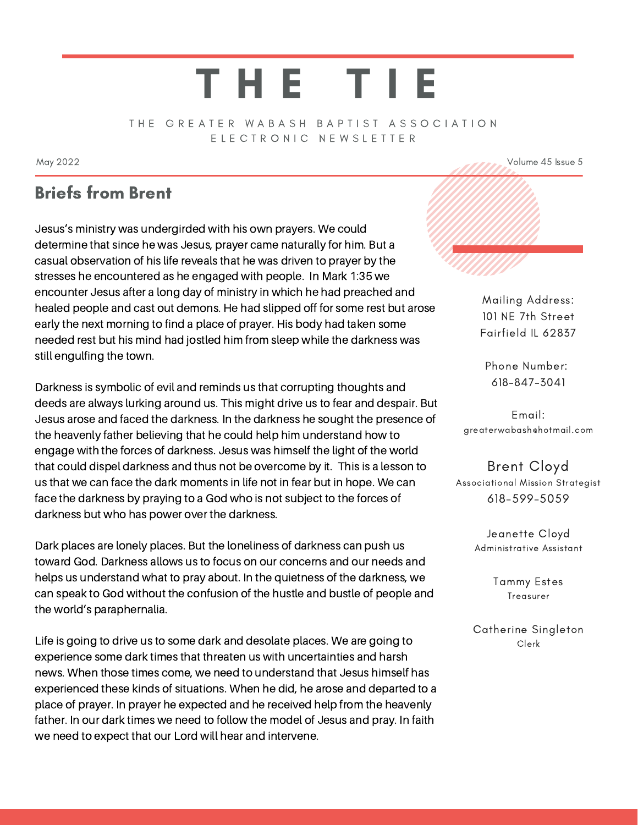# T H E T I E

#### THE GREATER WABASH BAPTIST ASSOCIATION E L E C T R O N I C N E W S L E T T E R

May 2022  $\sim$  May 2022  $\sim$  100  $\sim$  100  $\sim$  100  $\sim$  100  $\sim$  100  $\sim$  100  $\sim$  100  $\sim$  100  $\sim$  100  $\sim$  100  $\sim$  100  $\sim$  100  $\sim$  100  $\sim$  100  $\sim$  100  $\sim$  100  $\sim$  100  $\sim$  100  $\sim$  100  $\sim$  100  $\sim$  100  $\sim$  100

### Briefs from Brent

Jesus's ministry was undergirded with his own prayers. We could determine that since he was Jesus, prayer came naturally for him. But a casual observation of his life reveals that he was driven to prayer by the stresses he encountered as he engaged with people. In Mark 1:35 we encounter Jesus after a long day of ministry in which he had preached and healed people and cast out demons. He had slipped off for some rest but arose early the next morning to find a place of prayer. His body had taken some needed rest but his mind had jostled him from sleep while the darkness was still engulfing the town.

Darkness is symbolic of evil and reminds us that corrupting thoughts and deeds are always lurking around us. This might drive us to fear and despair. But Jesus arose and faced the darkness. In the darkness he sought the presence of the heavenly father believing that he could help him understand how to engage with the forces of darkness. Jesus was himself the light of the world that could dispel darkness and thus not be overcome by it. This is a lesson to us that we can face the dark moments in life not in fear but in hope. We can face the darkness by praying to a God who is not subject to the forces of darkness but who has power over the darkness.

Dark places are lonely places. But the loneliness of darkness can push us toward God. Darkness allows us to focus on our concerns and our needs and helps us understand what to pray about. In the quietness of the darkness, we can speak to God without the confusion of the hustle and bustle of people and the world's paraphernalia.

Life is going to drive us to some dark and desolate places. We are going to experience some dark times that threaten us with uncertainties and harsh news. When those times come, we need to understand that Jesus himself has experienced these kinds of situations. When he did, he arose and departed to a place of prayer. In prayer he expected and he received help from the heavenly father. In our dark times we need to follow the model of Jesus and pray. In faith we need to expect that our Lord will hear and intervene.



Mailing Address: 101 NE 7th Street Fairfield IL 62837

Phone Number: 618-847-3041

Email: greaterwabash@hotmail.com

#### Brent Cloyd Associational Mission Strategist

618-599-5059

Jeanette Cloyd Administrative Assistant

> Tammy Estes Treasurer

Catherine Singleton Clerk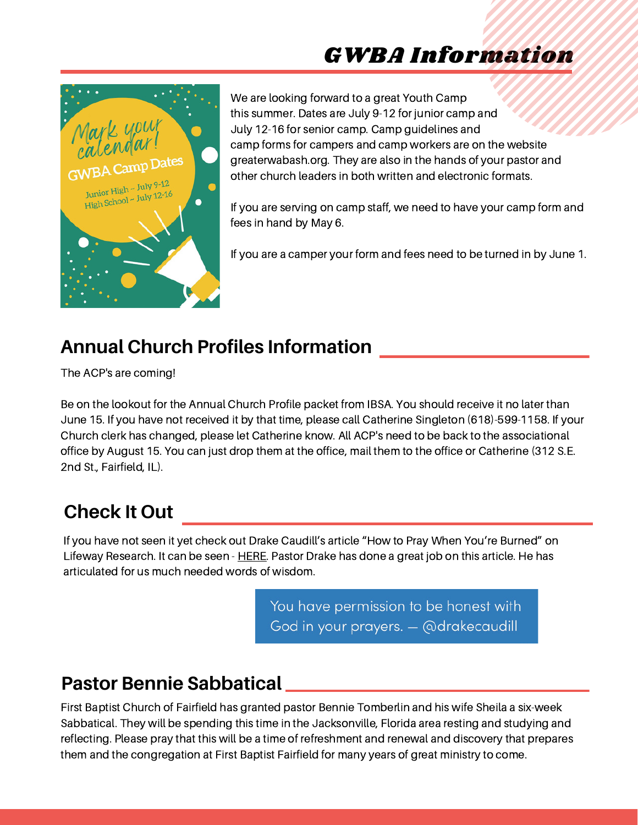# GWBA Information



We are looking forward to a great Youth Camp this summer. Dates are July 9-12 for junior camp and July 12-16 for senior camp. Camp guidelines and camp forms for campers and camp workers are on the website greaterwabash.org. They are also in the hands of your pastor and other church leaders in both written and electronic formats.

If you are serving on camp staff, we need to have your camp form and fees in hand by May 6.

If you are a camper your form and fees need to be turned in by June 1.

## **Annual Church Profiles Information**

The ACP's are coming!

Be on the lookout for the Annual Church Profile packet from IBSA. You should receive it no later than June 15. If you have not received it by that time, please call Catherine Singleton (618)-599-1158. If your Church clerk has changed, please let Catherine know. All ACP's need to be back to the associational office by August 15. You can just drop them at the office, mail them to the office or Catherine (312 S.E. 2nd St., Fairfield, IL).

# **Check It Out**

If you have not seen it yet check out Drake Caudill's article "How to Pray When You're Burned" on Lifeway Research. It can be seen - [HERE.](https://research.lifeway.com/2022/04/25/how-to-pray-when-youre-burned-out/?fbclid=IwAR2Yg8OYR2nVnYY7BAI2yriIC1T5JCZxSb7xYfWDqRcrKI20xLcH5SEAjhY) Pastor Drake has done a great job on this article. He has articulated for us much needed words of wisdom.

> You have permission to be honest with God in your prayers. - @drakecaudill

# **Pastor Bennie Sabbatical**

First Baptist Church of Fairfield has granted pastor Bennie Tomberlin and his wife Sheila a six-week Sabbatical. They will be spending this time in the Jacksonville, Florida area resting and studying and reflecting. Please pray that this will be a time of refreshment and renewal and discovery that prepares them and the congregation at First Baptist Fairfield for many years of great ministry to come.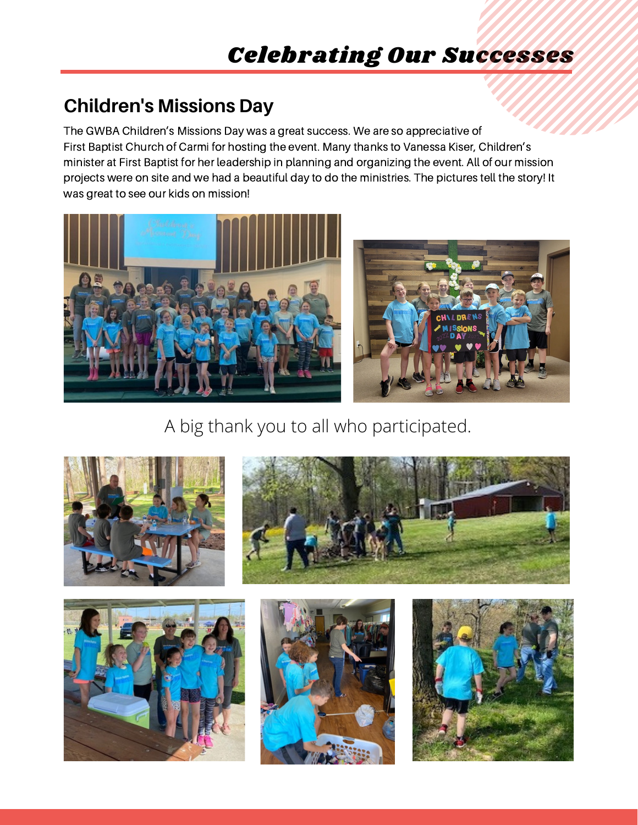# **Children's Missions Day**

The GWBA Children's Missions Day was a great success. We are so appreciative of First Baptist Church of Carmi for hosting the event. Many thanks to Vanessa Kiser, Children's minister at First Baptist for her leadership in planning and organizing the event. All of our mission projects were on site and we had a beautiful day to do the ministries. The pictures tell the story! It was great to see our kids on mission!





A big thank you to all who participated.







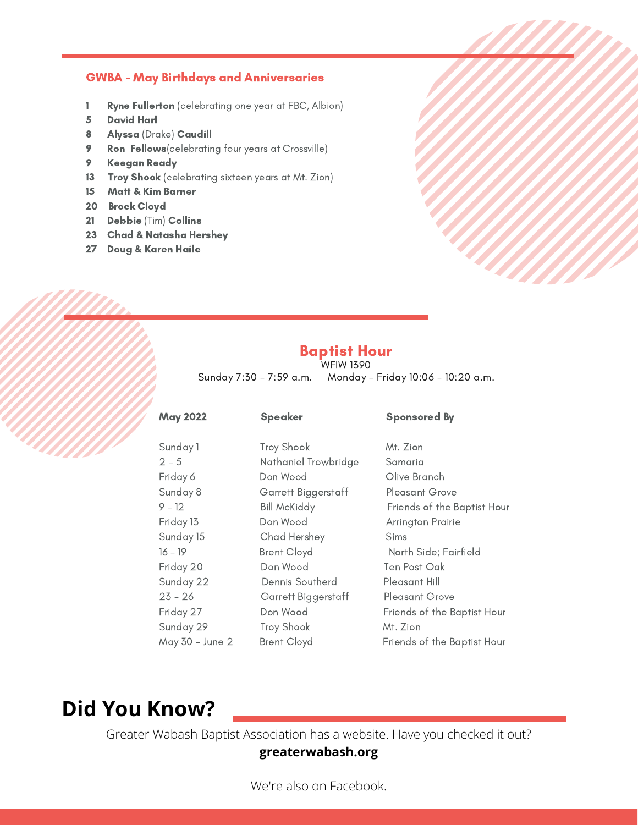#### GWBA - May Birthdays and Anniversaries

- 1 Ryne Fullerton (celebrating one year at FBC, Albion)
- 5 David Harl
- 8 Alyssa (Drake) Caudill
- 9 Ron Fellows (celebrating four years at Crossville)
- 9 Keegan Ready
- 13 Troy Shook (celebrating sixteen years at Mt. Zion)
- 15 Matt & Kim Barner
- 20 Brock Cloyd
- 21 Debbie (Tim) Collins
- 23 Chad & Natasha Hershey
- 27 Doug & Karen Haile

#### Baptist Hour

WFIW 1390 Sunday 7:30 - 7:59 a.m. Monday - Friday 10:06 - 10:20 a.m.

#### May 2022 Speaker Sponsored By Sunday 1 Troy Shook Mt. Zion 2 - 5 Nathaniel Trowbridge Samaria Friday 6 **Don Wood** Olive Branch Sunday 8 **Garrett Biggerstaff** Pleasant Grove 9 - 12 Bill McKiddy Friends of the Baptist Hour Friday 13 **Don Wood** Arrington Prairie Sunday 15 Chad Hershey Sims 16 - 19 Brent Cloyd North Side; Fairfield Friday 20 Don Wood Ten Post Oak Sunday 22 Dennis Southerd Pleasant Hill 23 - 26 Garrett Biggerstaff Pleasant Grove Friday 27 **Don Wood** Friends of the Baptist Hour Sunday 29 Troy Shook Mt. Zion May 30 - June 2 Brent Cloyd Friends of the Baptist Hour

# **Did You Know?**

Greater Wabash Baptist Association has a website. Have you checked it out? **greaterwabash.org**

We're also on Facebook.